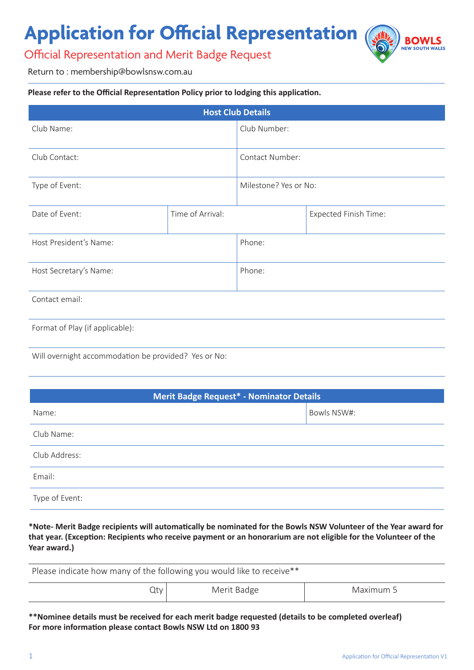## **Application for Official Representation**

Official Representation and Merit Badge Request

ROW NEW SOUTH WALES

Return to : membership@bowlsnsw.com.au

#### **Please refer to the Official Representation Policy prior to lodging this application.**

| <b>Host Club Details</b>        |                  |                       |                              |
|---------------------------------|------------------|-----------------------|------------------------------|
| Club Name:                      |                  | Club Number:          |                              |
| Club Contact:                   |                  | Contact Number:       |                              |
| Type of Event:                  |                  | Milestone? Yes or No: |                              |
| Date of Event:                  | Time of Arrival: |                       | <b>Expected Finish Time:</b> |
| Host President's Name:          |                  | Phone:                |                              |
| Host Secretary's Name:          |                  | Phone:                |                              |
| Contact email:                  |                  |                       |                              |
| Format of Play (if applicable): |                  |                       |                              |

Will overnight accommodation be provided? Yes or No:

| <b>Merit Badge Request* - Nominator Details</b> |             |  |
|-------------------------------------------------|-------------|--|
| Name:                                           | Bowls NSW#: |  |
| Club Name:                                      |             |  |
| Club Address:                                   |             |  |
| Email:                                          |             |  |
| Type of Event:                                  |             |  |

**\*Note- Merit Badge recipients will automatically be nominated for the Bowls NSW Volunteer of the Year award for that year. (Exception: Recipients who receive payment or an honorarium are not eligible for the Volunteer of the Year award.)**

| Please indicate how many of the following you would like to receive** |             |           |  |
|-----------------------------------------------------------------------|-------------|-----------|--|
| Qty                                                                   | Merit Badge | Maximum 5 |  |

**\*\*Nominee details must be received for each merit badge requested (details to be completed overleaf) For more information please contact Bowls NSW Ltd on 1800 93**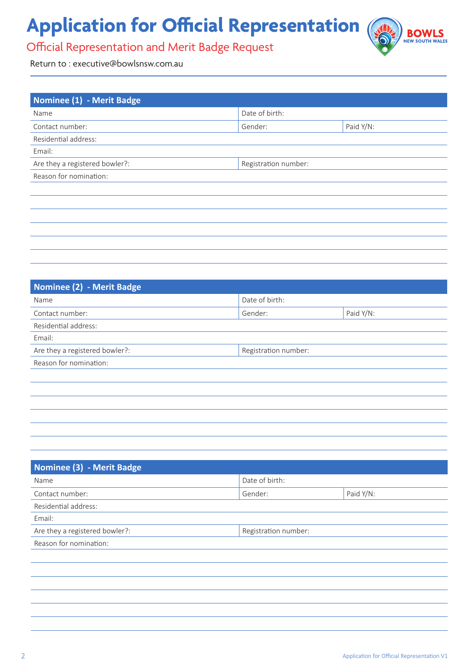# **Application for Official Representation**



### Official Representation and Merit Badge Request

Return to : executive@bowlsnsw.com.au

| Nominee (1) - Merit Badge      |                      |           |
|--------------------------------|----------------------|-----------|
| Name                           | Date of birth:       |           |
| Contact number:                | Gender:              | Paid Y/N: |
| Residential address:           |                      |           |
| Email:                         |                      |           |
| Are they a registered bowler?: | Registration number: |           |
| Reason for nomination:         |                      |           |
|                                |                      |           |
|                                |                      |           |
|                                |                      |           |
|                                |                      |           |
|                                |                      |           |
|                                |                      |           |

| Nominee (2) - Merit Badge      |                      |           |
|--------------------------------|----------------------|-----------|
| Name                           | Date of birth:       |           |
| Contact number:                | Gender:              | Paid Y/N: |
| Residential address:           |                      |           |
| Email:                         |                      |           |
| Are they a registered bowler?: | Registration number: |           |
| Reason for nomination:         |                      |           |
|                                |                      |           |
|                                |                      |           |
|                                |                      |           |
|                                |                      |           |
|                                |                      |           |

| Nominee (3) - Merit Badge      |                      |           |
|--------------------------------|----------------------|-----------|
| Name                           | Date of birth:       |           |
| Contact number:                | Gender:              | Paid Y/N: |
| Residential address:           |                      |           |
| Email:                         |                      |           |
| Are they a registered bowler?: | Registration number: |           |
| Reason for nomination:         |                      |           |
|                                |                      |           |
|                                |                      |           |
|                                |                      |           |